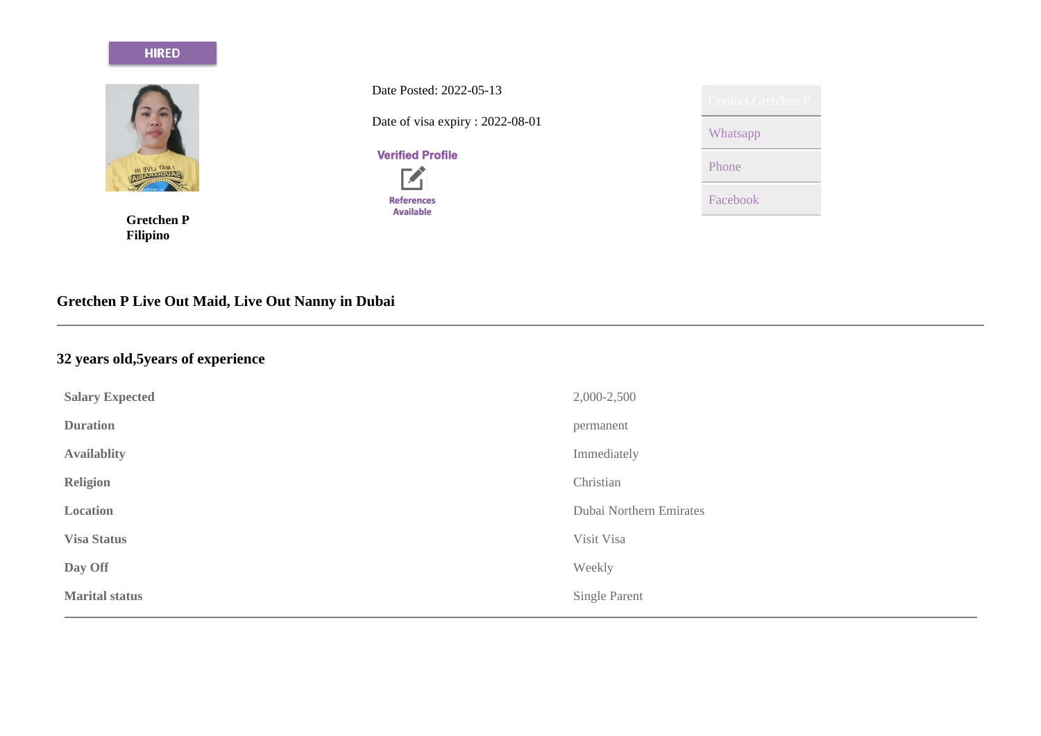#### **HIRED**



**Gretchen P Filipino**

Date Posted: 2022-05-13 Date of visa expiry : 2022-08-01

**Verified Profile** 



| <b>Contact Gretchen P</b> |
|---------------------------|
| Whatsapp                  |
| Phone                     |
| Facebook                  |

# **Gretchen P Live Out Maid, Live Out Nanny in Dubai**

# **32 years old,5years of experience**

| <b>Salary Expected</b> | 2,000-2,500             |
|------------------------|-------------------------|
| <b>Duration</b>        | permanent               |
| <b>Availablity</b>     | Immediately             |
| <b>Religion</b>        | Christian               |
| Location               | Dubai Northern Emirates |
| <b>Visa Status</b>     | Visit Visa              |
| Day Off                | Weekly                  |
| <b>Marital status</b>  | Single Parent           |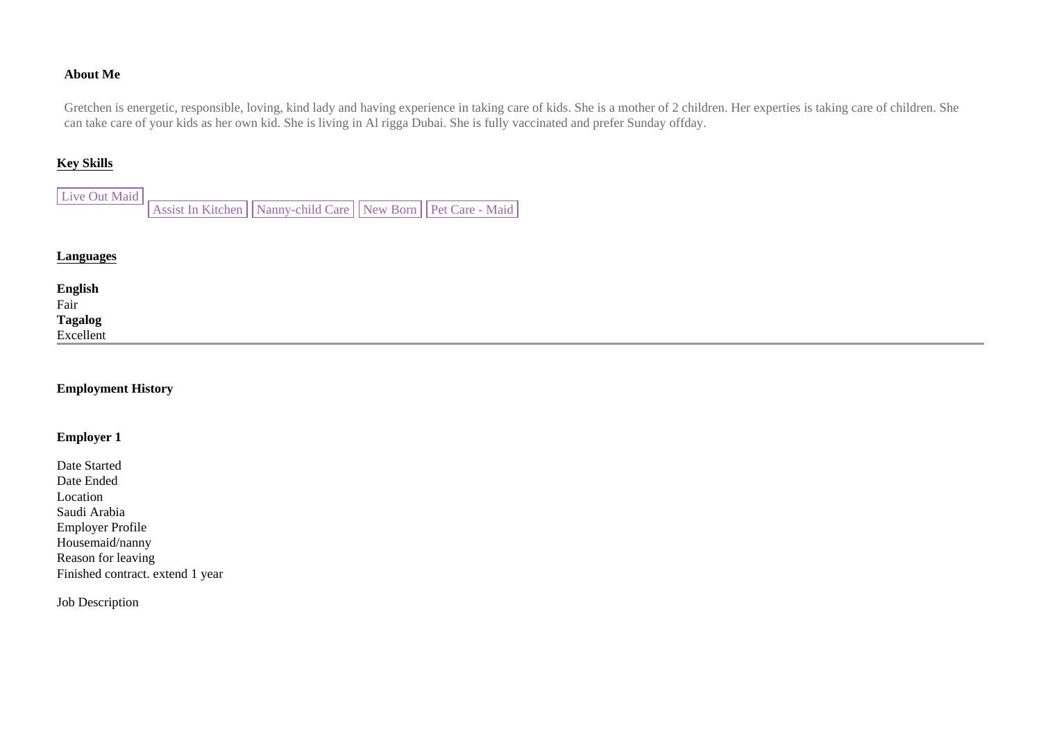### **About Me**

Gretchen is energetic, responsible, loving, kind lady and having experience in taking care of kids. She is a mother of 2 children. Her experties is taking care of children. She can take care of your kids as her own kid. She is living in Al rigga Dubai. She is fully vaccinated and prefer Sunday offday.

## **Key Skills**

| Live Out Maid |                                                                   |  |
|---------------|-------------------------------------------------------------------|--|
|               | Assist In Kitchen   Nanny-child Care   New Born   Pet Care - Maid |  |

## **Languages**

| <b>English</b><br>Fair |  |  |
|------------------------|--|--|
|                        |  |  |
| Tagalog<br>Excellent   |  |  |
|                        |  |  |
|                        |  |  |

#### **Employment History**

#### **Employer 1**

Date Started Date Ended Location Saudi Arabia Employer Profile Housemaid/nanny Reason for leaving Finished contract. extend 1 year

Job Description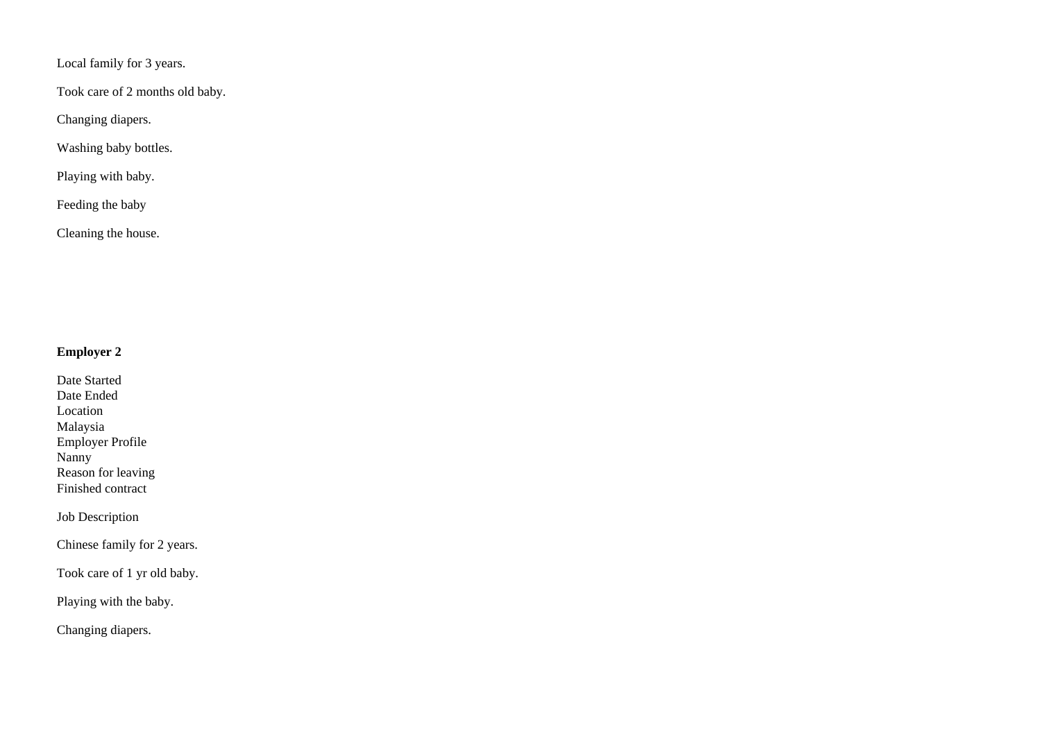Local family for 3 years.

Took care of 2 months old baby.

Changing diapers.

Washing baby bottles.

Playing with baby.

Feeding the baby

Cleaning the house.

## **Employer 2**

Date Started Date Ended Location Malaysia Employer Profile Nanny Reason for leaving Finished contract

Job Description

Chinese family for 2 years.

Took care of 1 yr old baby.

Playing with the baby.

Changing diapers.